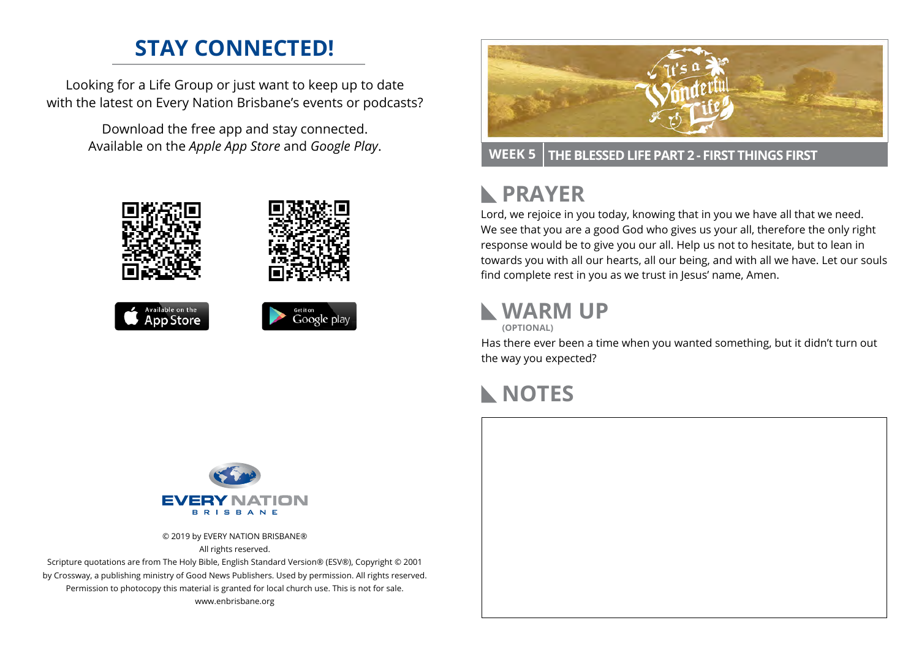### **STAY CONNECTED!**

Looking for a Life Group or just want to keep up to date with the latest on Every Nation Brisbane's events or podcasts?

> Download the free app and stay connected. Available on the *Apple App Store* and *Google Play*.





**WEEK 5 THE BLESSED LIFE PART 2 - FIRST THINGS FIRST**

# **RAYER**

Lord, we rejoice in you today, knowing that in you we have all that we need. We see that you are a good God who gives us your all, therefore the only right response would be to give you our all. Help us not to hesitate, but to lean in towards you with all our hearts, all our being, and with all we have. Let our souls find complete rest in you as we trust in Jesus' name, Amen.

# **WARM UP**

**(OPTIONAL)**

Has there ever been a time when you wanted something, but it didn't turn out the way you expected?

#### **NOTES**



© 2019 by EVERY NATION BRISBANE® All rights reserved.

Scripture quotations are from The Holy Bible, English Standard Version® (ESV®), Copyright © 2001 by Crossway, a publishing ministry of Good News Publishers. Used by permission. All rights reserved. Permission to photocopy this material is granted for local church use. This is not for sale. www.enbrisbane.org